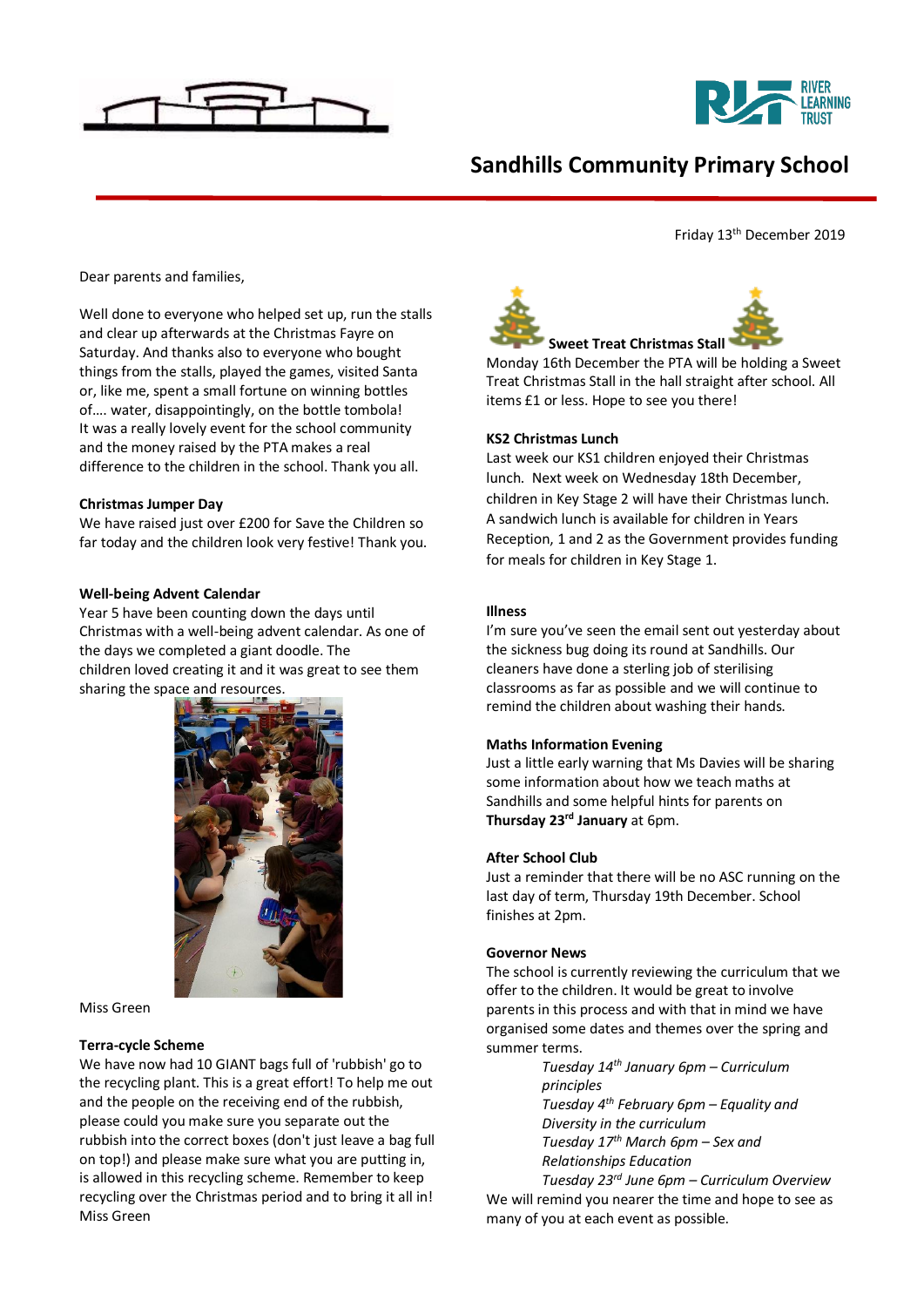



# **Sandhills Community Primary School**

Friday 13th December 2019

Dear parents and families,

Well done to everyone who helped set up, run the stalls and clear up afterwards at the Christmas Fayre on Saturday. And thanks also to everyone who bought things from the stalls, played the games, visited Santa or, like me, spent a small fortune on winning bottles of…. water, disappointingly, on the bottle tombola! It was a really lovely event for the school community and the money raised by the PTA makes a real difference to the children in the school. Thank you all.

### **Christmas Jumper Day**

We have raised just over £200 for Save the Children so far today and the children look very festive! Thank you.

### **Well-being Advent Calendar**

Year 5 have been counting down the days until Christmas with a well-being advent calendar. As one of the days we completed a giant doodle. The children loved creating it and it was great to see them sharing the space and resources.



#### Miss Green

#### **Terra-cycle Scheme**

We have now had 10 GIANT bags full of 'rubbish' go to the recycling plant. This is a great effort! To help me out and the people on the receiving end of the rubbish, please could you make sure you separate out the rubbish into the correct boxes (don't just leave a bag full on top!) and please make sure what you are putting in, is allowed in this recycling scheme. Remember to keep recycling over the Christmas period and to bring it all in! Miss Green



Monday 16th December the PTA will be holding a Sweet Treat Christmas Stall in the hall straight after school. All items £1 or less. Hope to see you there!

### **KS2 Christmas Lunch**

Last week our KS1 children enjoyed their Christmas lunch. Next week on Wednesday 18th December, children in Key Stage 2 will have their Christmas lunch. A sandwich lunch is available for children in Years Reception, 1 and 2 as the Government provides funding for meals for children in Key Stage 1.

### **Illness**

I'm sure you've seen the email sent out yesterday about the sickness bug doing its round at Sandhills. Our cleaners have done a sterling job of sterilising classrooms as far as possible and we will continue to remind the children about washing their hands.

# **Maths Information Evening**

Just a little early warning that Ms Davies will be sharing some information about how we teach maths at Sandhills and some helpful hints for parents on **Thursday 23rd January** at 6pm.

## **After School Club**

Just a reminder that there will be no ASC running on the last day of term, Thursday 19th December. School finishes at 2pm.

#### **Governor News**

The school is currently reviewing the curriculum that we offer to the children. It would be great to involve parents in this process and with that in mind we have organised some dates and themes over the spring and summer terms.

> *Tuesday 14th January 6pm – Curriculum principles Tuesday 4th February 6pm – Equality and Diversity in the curriculum Tuesday 17th March 6pm – Sex and Relationships Education*

*Tuesday 23rd June 6pm – Curriculum Overview* We will remind you nearer the time and hope to see as many of you at each event as possible.